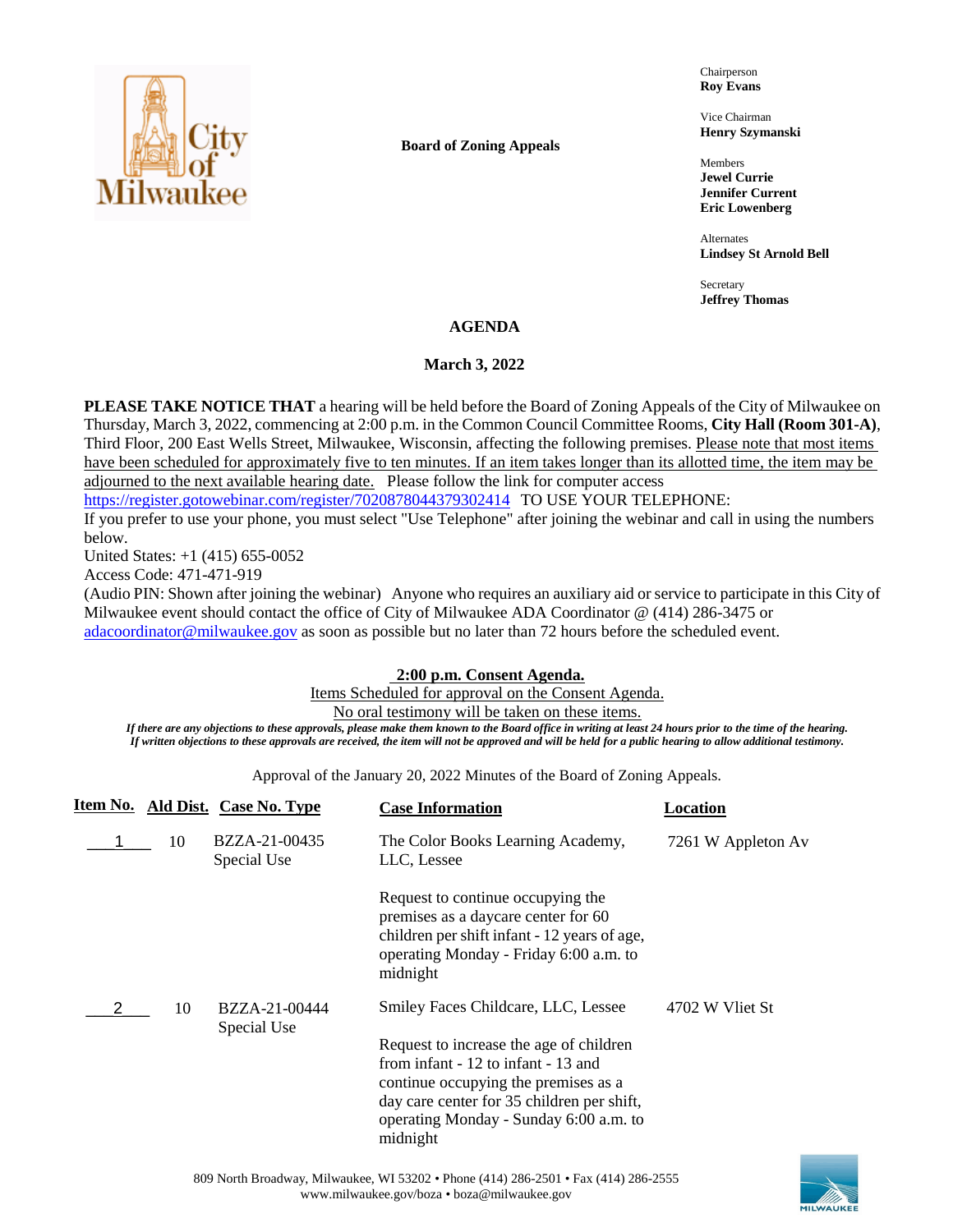

**Board of Zoning Appeals**

Chairperson **Roy Evans**

Vice Chairman **Henry Szymanski**

Members **Jewel Currie Jennifer Current Eric Lowenberg**

Alternates **Lindsey St Arnold Bell**

Secretary **Jeffrey Thomas**

## **AGENDA**

## **March 3, 2022**

**PLEASE TAKE NOTICE THAT** a hearing will be held before the Board of Zoning Appeals of the City of Milwaukee on Thursday, March 3, 2022, commencing at 2:00 p.m. in the Common Council Committee Rooms, **City Hall (Room 301-A)**, Third Floor, 200 East Wells Street, Milwaukee, Wisconsin, affecting the following premises. Please note that most items have been scheduled for approximately five to ten minutes. If an item takes longer than its allotted time, the item may be adjourned to the next available hearing date. Please follow the link for computer access

<https://register.gotowebinar.com/register/7020878044379302414> TO USE YOUR TELEPHONE:

If you prefer to use your phone, you must select "Use Telephone" after joining the webinar and call in using the numbers below.

United States: +1 (415) 655-0052

Access Code: 471-471-919

(Audio PIN: Shown after joining the webinar) Anyone who requires an auxiliary aid or service to participate in this City of Milwaukee event should contact the office of City of Milwaukee ADA Coordinator @ (414) 286-3475 or [adacoordinator@milwaukee.gov](mailto:adacoordinator@milwaukee.gov) as soon as possible but no later than 72 hours before the scheduled event.

# **2:00 p.m. Consent Agenda.**

Items Scheduled for approval on the Consent Agenda.

No oral testimony will be taken on these items.

*If there are any objections to these approvals, please make them known to the Board office in writing at least 24 hours prior to the time of the hearing. If written objections to these approvals are received, the item will not be approved and will be held for a public hearing to allow additional testimony.*

Approval of the January 20, 2022 Minutes of the Board of Zoning Appeals.

|    | Item No. Ald Dist. Case No. Type | <b>Case Information</b>                                                                                                                                                                                                                                           | Location           |
|----|----------------------------------|-------------------------------------------------------------------------------------------------------------------------------------------------------------------------------------------------------------------------------------------------------------------|--------------------|
| 10 | BZZA-21-00435<br>Special Use     | The Color Books Learning Academy,<br>LLC, Lessee                                                                                                                                                                                                                  | 7261 W Appleton Av |
|    |                                  | Request to continue occupying the<br>premises as a daycare center for 60<br>children per shift infant - 12 years of age,<br>operating Monday - Friday 6:00 a.m. to<br>midnight                                                                                    |                    |
| 10 | BZZA-21-00444<br>Special Use     | Smiley Faces Childcare, LLC, Lessee<br>Request to increase the age of children<br>from infant - 12 to infant - 13 and<br>continue occupying the premises as a<br>day care center for 35 children per shift,<br>operating Monday - Sunday 6:00 a.m. to<br>midnight | 4702 W Vliet St    |

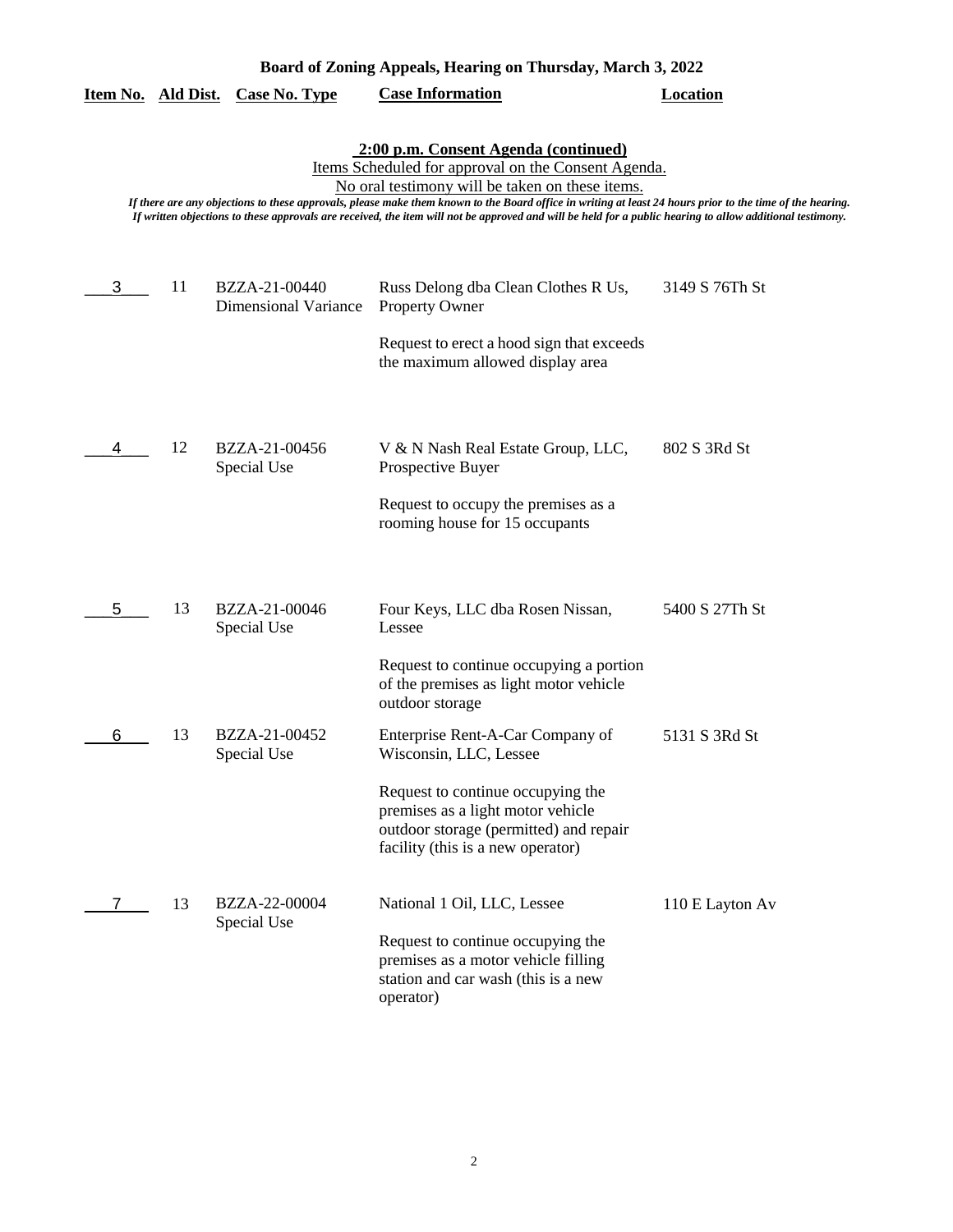| Board of Zoning Appeals, Hearing on Thursday, March 3, 2022 |    |                                              |                                                                                                                                                                                                                                                                                                                                                                                                                                                                          |                 |
|-------------------------------------------------------------|----|----------------------------------------------|--------------------------------------------------------------------------------------------------------------------------------------------------------------------------------------------------------------------------------------------------------------------------------------------------------------------------------------------------------------------------------------------------------------------------------------------------------------------------|-----------------|
| <u>Item No. Ald Dist.</u>                                   |    | <b>Case No. Type</b>                         | <b>Case Information</b>                                                                                                                                                                                                                                                                                                                                                                                                                                                  | <b>Location</b> |
|                                                             |    |                                              | 2:00 p.m. Consent Agenda (continued)<br>Items Scheduled for approval on the Consent Agenda.<br>No oral testimony will be taken on these items.<br>If there are any objections to these approvals, please make them known to the Board office in writing at least 24 hours prior to the time of the hearing.<br>If written objections to these approvals are received, the item will not be approved and will be held for a public hearing to allow additional testimony. |                 |
| 3                                                           | 11 | BZZA-21-00440<br><b>Dimensional Variance</b> | Russ Delong dba Clean Clothes R Us,<br><b>Property Owner</b>                                                                                                                                                                                                                                                                                                                                                                                                             | 3149 S 76Th St  |
|                                                             |    |                                              | Request to erect a hood sign that exceeds<br>the maximum allowed display area                                                                                                                                                                                                                                                                                                                                                                                            |                 |
| 4                                                           | 12 | BZZA-21-00456<br>Special Use                 | V & N Nash Real Estate Group, LLC,<br>Prospective Buyer                                                                                                                                                                                                                                                                                                                                                                                                                  | 802 S 3Rd St    |
|                                                             |    |                                              | Request to occupy the premises as a<br>rooming house for 15 occupants                                                                                                                                                                                                                                                                                                                                                                                                    |                 |
| 5                                                           | 13 | BZZA-21-00046<br>Special Use                 | Four Keys, LLC dba Rosen Nissan,<br>Lessee                                                                                                                                                                                                                                                                                                                                                                                                                               | 5400 S 27Th St  |
|                                                             |    |                                              | Request to continue occupying a portion<br>of the premises as light motor vehicle<br>outdoor storage                                                                                                                                                                                                                                                                                                                                                                     |                 |
| 6                                                           | 13 | BZZA-21-00452<br>Special Use                 | Enterprise Rent-A-Car Company of<br>Wisconsin, LLC, Lessee                                                                                                                                                                                                                                                                                                                                                                                                               | 5131 S 3Rd St   |
|                                                             |    |                                              | Request to continue occupying the<br>premises as a light motor vehicle<br>outdoor storage (permitted) and repair<br>facility (this is a new operator)                                                                                                                                                                                                                                                                                                                    |                 |
| 7                                                           | 13 | BZZA-22-00004<br>Special Use                 | National 1 Oil, LLC, Lessee                                                                                                                                                                                                                                                                                                                                                                                                                                              | 110 E Layton Av |
|                                                             |    |                                              | Request to continue occupying the<br>premises as a motor vehicle filling<br>station and car wash (this is a new<br>operator)                                                                                                                                                                                                                                                                                                                                             |                 |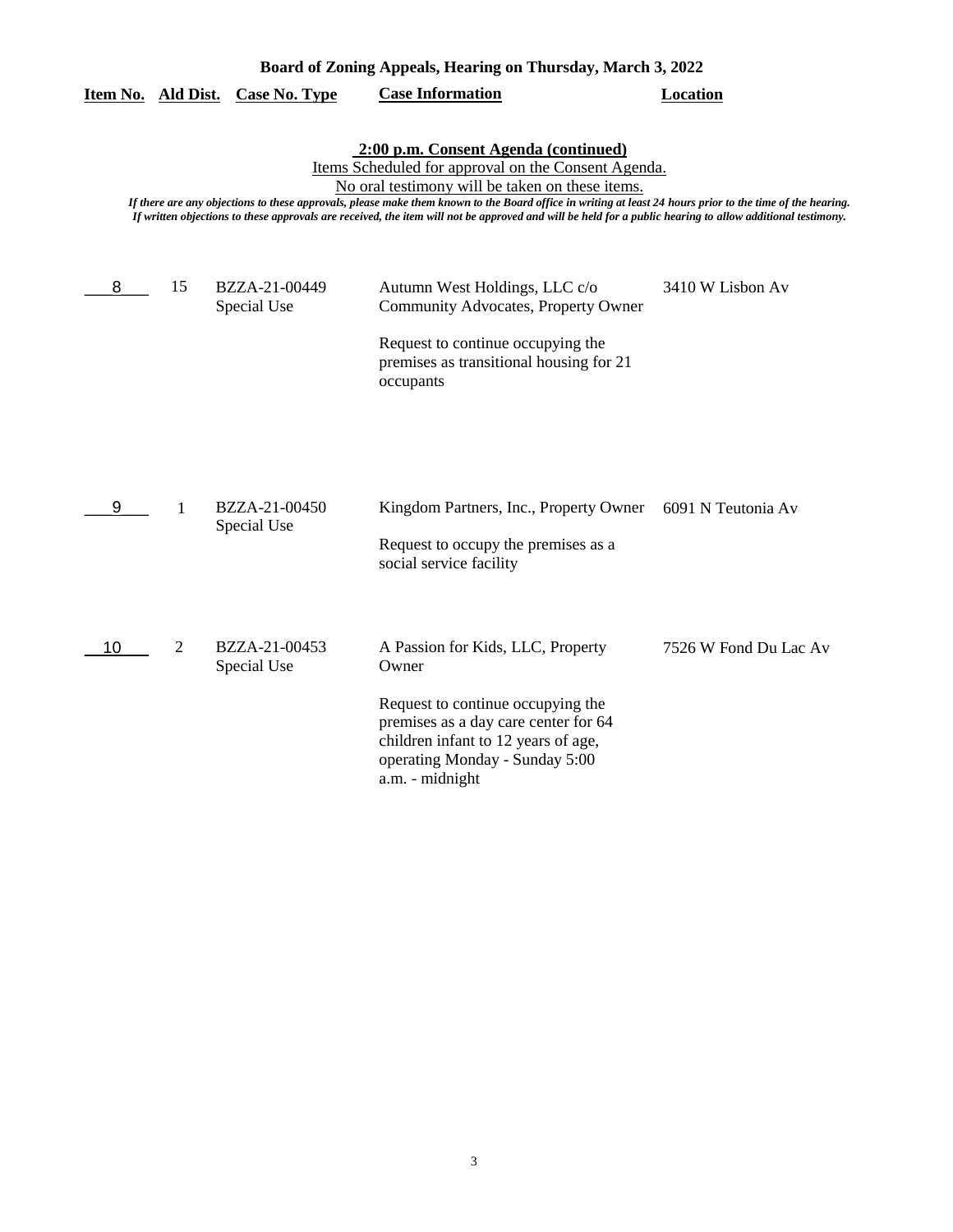| Board of Zoning Appeals, Hearing on Thursday, March 3, 2022                                                                                                                                                                                                                                                                                                                                                                                                              |                |                              |                                                                                                                                                                                                                     |                       |  |  |  |
|--------------------------------------------------------------------------------------------------------------------------------------------------------------------------------------------------------------------------------------------------------------------------------------------------------------------------------------------------------------------------------------------------------------------------------------------------------------------------|----------------|------------------------------|---------------------------------------------------------------------------------------------------------------------------------------------------------------------------------------------------------------------|-----------------------|--|--|--|
| Item No. Ald Dist.                                                                                                                                                                                                                                                                                                                                                                                                                                                       |                | <b>Case No. Type</b>         | <b>Case Information</b>                                                                                                                                                                                             | <b>Location</b>       |  |  |  |
| 2:00 p.m. Consent Agenda (continued)<br>Items Scheduled for approval on the Consent Agenda.<br>No oral testimony will be taken on these items.<br>If there are any objections to these approvals, please make them known to the Board office in writing at least 24 hours prior to the time of the hearing.<br>If written objections to these approvals are received, the item will not be approved and will be held for a public hearing to allow additional testimony. |                |                              |                                                                                                                                                                                                                     |                       |  |  |  |
| 8                                                                                                                                                                                                                                                                                                                                                                                                                                                                        | 15             | BZZA-21-00449<br>Special Use | Autumn West Holdings, LLC c/o<br>Community Advocates, Property Owner<br>Request to continue occupying the<br>premises as transitional housing for 21<br>occupants                                                   | 3410 W Lisbon Av      |  |  |  |
| 9                                                                                                                                                                                                                                                                                                                                                                                                                                                                        | 1              | BZZA-21-00450<br>Special Use | Kingdom Partners, Inc., Property Owner<br>Request to occupy the premises as a<br>social service facility                                                                                                            | 6091 N Teutonia Av    |  |  |  |
| 10                                                                                                                                                                                                                                                                                                                                                                                                                                                                       | $\overline{2}$ | BZZA-21-00453<br>Special Use | A Passion for Kids, LLC, Property<br>Owner<br>Request to continue occupying the<br>premises as a day care center for 64<br>children infant to 12 years of age,<br>operating Monday - Sunday 5:00<br>a.m. - midnight | 7526 W Fond Du Lac Av |  |  |  |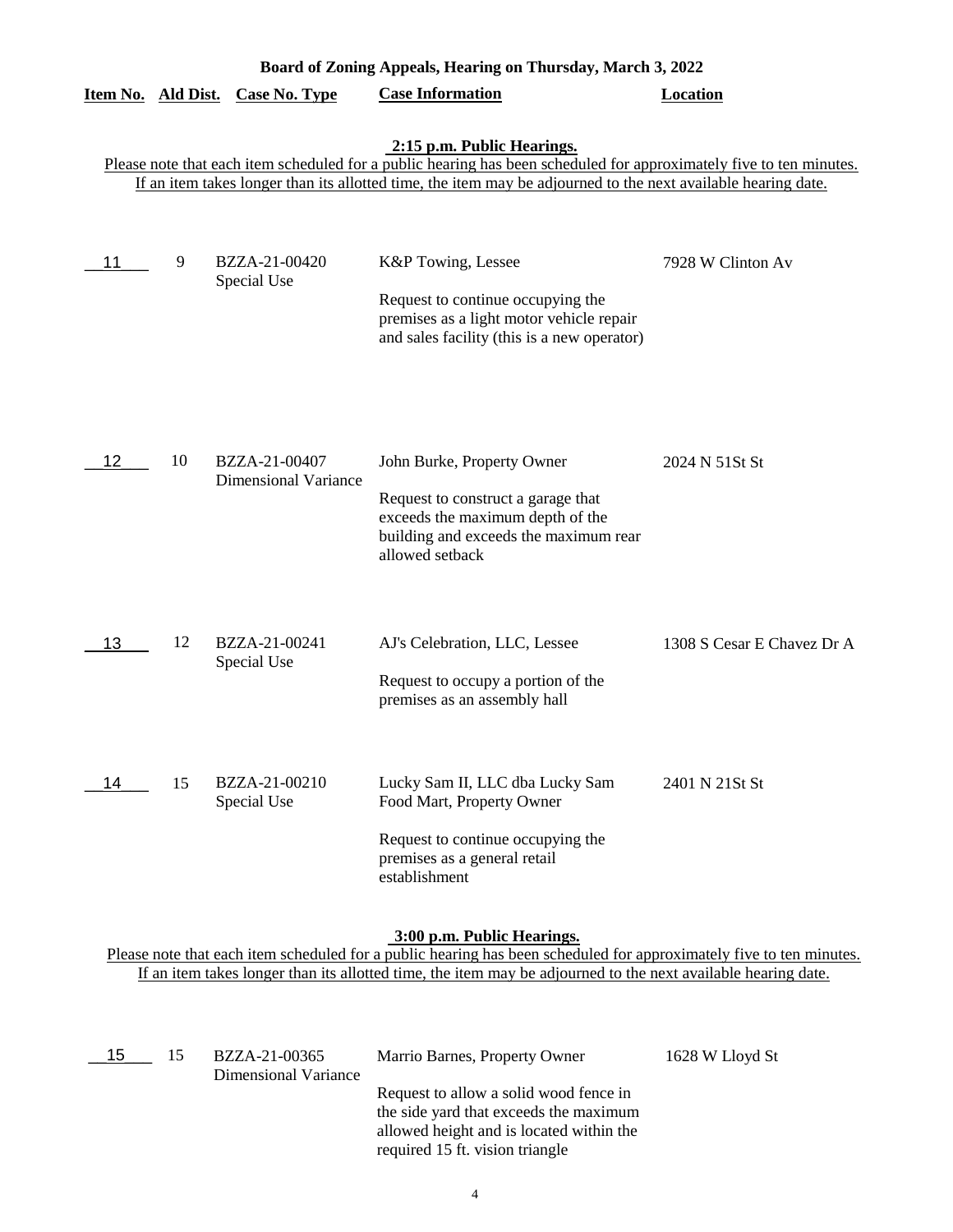| Board of Zoning Appeals, Hearing on Thursday, March 3, 2022                                                                                                                                                                                                        |    |                                              |                                                                                                                                                                  |                            |  |  |  |
|--------------------------------------------------------------------------------------------------------------------------------------------------------------------------------------------------------------------------------------------------------------------|----|----------------------------------------------|------------------------------------------------------------------------------------------------------------------------------------------------------------------|----------------------------|--|--|--|
| Item No. Ald Dist.                                                                                                                                                                                                                                                 |    | <b>Case No. Type</b>                         | <b>Case Information</b>                                                                                                                                          | <b>Location</b>            |  |  |  |
| 2:15 p.m. Public Hearings.<br>Please note that each item scheduled for a public hearing has been scheduled for approximately five to ten minutes.<br>If an item takes longer than its allotted time, the item may be adjourned to the next available hearing date. |    |                                              |                                                                                                                                                                  |                            |  |  |  |
| 11                                                                                                                                                                                                                                                                 | 9  | BZZA-21-00420<br>Special Use                 | K&P Towing, Lessee<br>Request to continue occupying the<br>premises as a light motor vehicle repair<br>and sales facility (this is a new operator)               | 7928 W Clinton Av          |  |  |  |
| 12                                                                                                                                                                                                                                                                 | 10 | BZZA-21-00407<br><b>Dimensional Variance</b> | John Burke, Property Owner<br>Request to construct a garage that<br>exceeds the maximum depth of the<br>building and exceeds the maximum rear<br>allowed setback | 2024 N 51St St             |  |  |  |
| 13                                                                                                                                                                                                                                                                 | 12 | BZZA-21-00241<br>Special Use                 | AJ's Celebration, LLC, Lessee<br>Request to occupy a portion of the<br>premises as an assembly hall                                                              | 1308 S Cesar E Chavez Dr A |  |  |  |
| 14                                                                                                                                                                                                                                                                 | 15 | BZZA-21-00210<br>Special Use                 | Lucky Sam II, LLC dba Lucky Sam<br>Food Mart, Property Owner<br>Request to continue occupying the<br>premises as a general retail<br>establishment               | 2401 N 21St St             |  |  |  |
|                                                                                                                                                                                                                                                                    |    |                                              | 3:00 p.m. Public Hearings.                                                                                                                                       |                            |  |  |  |

Please note that each item scheduled for a public hearing has been scheduled for approximately five to ten minutes. If an item takes longer than its allotted time, the item may be adjourned to the next available hearing date.

| 15 | 15 | BZZA-21-00365<br>Dimensional Variance | Marrio Barnes, Property Owner                                                                                                                                   | 1628 W Lloyd St |
|----|----|---------------------------------------|-----------------------------------------------------------------------------------------------------------------------------------------------------------------|-----------------|
|    |    |                                       | Request to allow a solid wood fence in<br>the side yard that exceeds the maximum<br>allowed height and is located within the<br>required 15 ft. vision triangle |                 |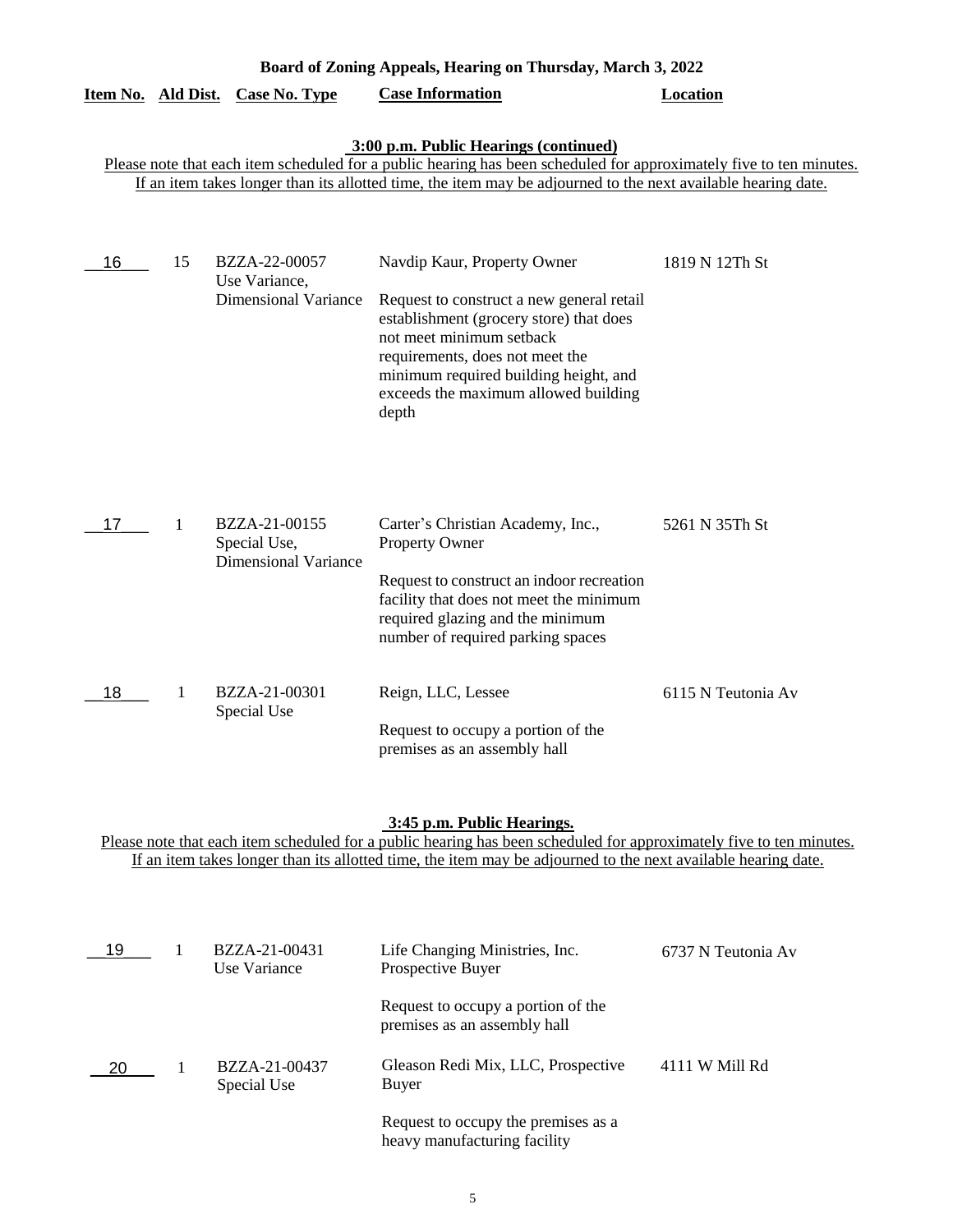| Board of Zoning Appeals, Hearing on Thursday, March 3, 2022 |    |                                                               |                                                                                                                                                                                                                                                                               |                    |  |
|-------------------------------------------------------------|----|---------------------------------------------------------------|-------------------------------------------------------------------------------------------------------------------------------------------------------------------------------------------------------------------------------------------------------------------------------|--------------------|--|
|                                                             |    | Item No. Ald Dist. Case No. Type                              | <b>Case Information</b>                                                                                                                                                                                                                                                       | <b>Location</b>    |  |
|                                                             |    |                                                               | 3:00 p.m. Public Hearings (continued)<br>Please note that each item scheduled for a public hearing has been scheduled for approximately five to ten minutes.<br>If an item takes longer than its allotted time, the item may be adjourned to the next available hearing date. |                    |  |
| 16                                                          | 15 | BZZA-22-00057<br>Use Variance,<br><b>Dimensional Variance</b> | Navdip Kaur, Property Owner<br>Request to construct a new general retail<br>establishment (grocery store) that does<br>not meet minimum setback<br>requirements, does not meet the<br>minimum required building height, and<br>exceeds the maximum allowed building<br>depth  | 1819 N 12Th St     |  |
| 17                                                          | 1  | BZZA-21-00155<br>Special Use,<br><b>Dimensional Variance</b>  | Carter's Christian Academy, Inc.,<br><b>Property Owner</b><br>Request to construct an indoor recreation<br>facility that does not meet the minimum<br>required glazing and the minimum<br>number of required parking spaces                                                   | 5261 N 35Th St     |  |
| 18                                                          | 1  | BZZA-21-00301<br>Special Use                                  | Reign, LLC, Lessee<br>Request to occupy a portion of the<br>premises as an assembly hall                                                                                                                                                                                      | 6115 N Teutonia Av |  |

#### **3:45 p.m. Public Hearings.**

Please note that each item scheduled for a public hearing has been scheduled for approximately five to ten minutes. If an item takes longer than its allotted time, the item may be adjourned to the next available hearing date.

| 19  | BZZA-21-00431<br>Use Variance | Life Changing Ministries, Inc.<br>Prospective Buyer                 | 6737 N Teutonia Av |
|-----|-------------------------------|---------------------------------------------------------------------|--------------------|
|     |                               | Request to occupy a portion of the<br>premises as an assembly hall  |                    |
| -20 | BZZA-21-00437<br>Special Use  | Gleason Redi Mix, LLC, Prospective<br>Buyer                         | 4111 W Mill Rd     |
|     |                               | Request to occupy the premises as a<br>heavy manufacturing facility |                    |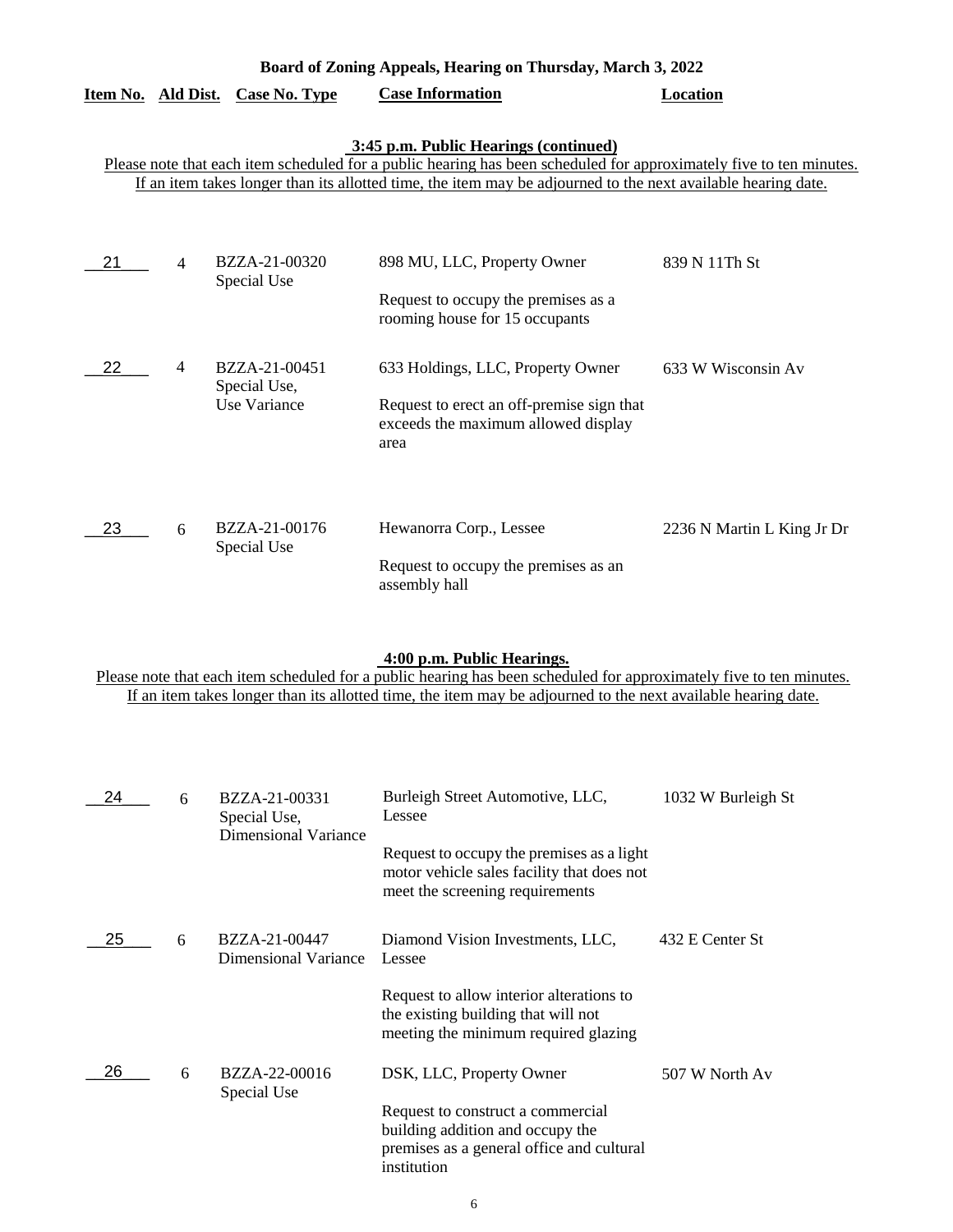| Board of Zoning Appeals, Hearing on Thursday, March 3, 2022 |                                                                                                                                                                                                                                                                               |                                               |                                                                                                                               |                            |  |  |  |  |
|-------------------------------------------------------------|-------------------------------------------------------------------------------------------------------------------------------------------------------------------------------------------------------------------------------------------------------------------------------|-----------------------------------------------|-------------------------------------------------------------------------------------------------------------------------------|----------------------------|--|--|--|--|
|                                                             |                                                                                                                                                                                                                                                                               | Item No. Ald Dist. Case No. Type              | <b>Case Information</b>                                                                                                       | <b>Location</b>            |  |  |  |  |
|                                                             | 3:45 p.m. Public Hearings (continued)<br>Please note that each item scheduled for a public hearing has been scheduled for approximately five to ten minutes.<br>If an item takes longer than its allotted time, the item may be adjourned to the next available hearing date. |                                               |                                                                                                                               |                            |  |  |  |  |
| 21                                                          | 4                                                                                                                                                                                                                                                                             | BZZA-21-00320<br>Special Use                  | 898 MU, LLC, Property Owner<br>Request to occupy the premises as a<br>rooming house for 15 occupants                          | 839 N 11Th St              |  |  |  |  |
| 22                                                          | 4                                                                                                                                                                                                                                                                             | BZZA-21-00451<br>Special Use,<br>Use Variance | 633 Holdings, LLC, Property Owner<br>Request to erect an off-premise sign that<br>exceeds the maximum allowed display<br>area | 633 W Wisconsin Av         |  |  |  |  |
| 23                                                          | 6                                                                                                                                                                                                                                                                             | BZZA-21-00176<br>Special Use                  | Hewanorra Corp., Lessee<br>Request to occupy the premises as an<br>assembly hall                                              | 2236 N Martin L King Jr Dr |  |  |  |  |

## **4:00 p.m. Public Hearings.**

Please note that each item scheduled for a public hearing has been scheduled for approximately five to ten minutes. If an item takes longer than its allotted time, the item may be adjourned to the next available hearing date.

| 24  | 6 | BZZA-21-00331<br>Special Use,         | Burleigh Street Automotive, LLC,<br>Lessee                                                                                        | 1032 W Burleigh St |
|-----|---|---------------------------------------|-----------------------------------------------------------------------------------------------------------------------------------|--------------------|
|     |   | Dimensional Variance                  | Request to occupy the premises as a light<br>motor vehicle sales facility that does not<br>meet the screening requirements        |                    |
| 25  | 6 | BZZA-21-00447<br>Dimensional Variance | Diamond Vision Investments, LLC,<br>Lessee                                                                                        | 432 E Center St    |
|     |   |                                       | Request to allow interior alterations to<br>the existing building that will not<br>meeting the minimum required glazing           |                    |
| 26. | 6 | BZZA-22-00016<br>Special Use          | DSK, LLC, Property Owner                                                                                                          | 507 W North Av     |
|     |   |                                       | Request to construct a commercial<br>building addition and occupy the<br>premises as a general office and cultural<br>institution |                    |